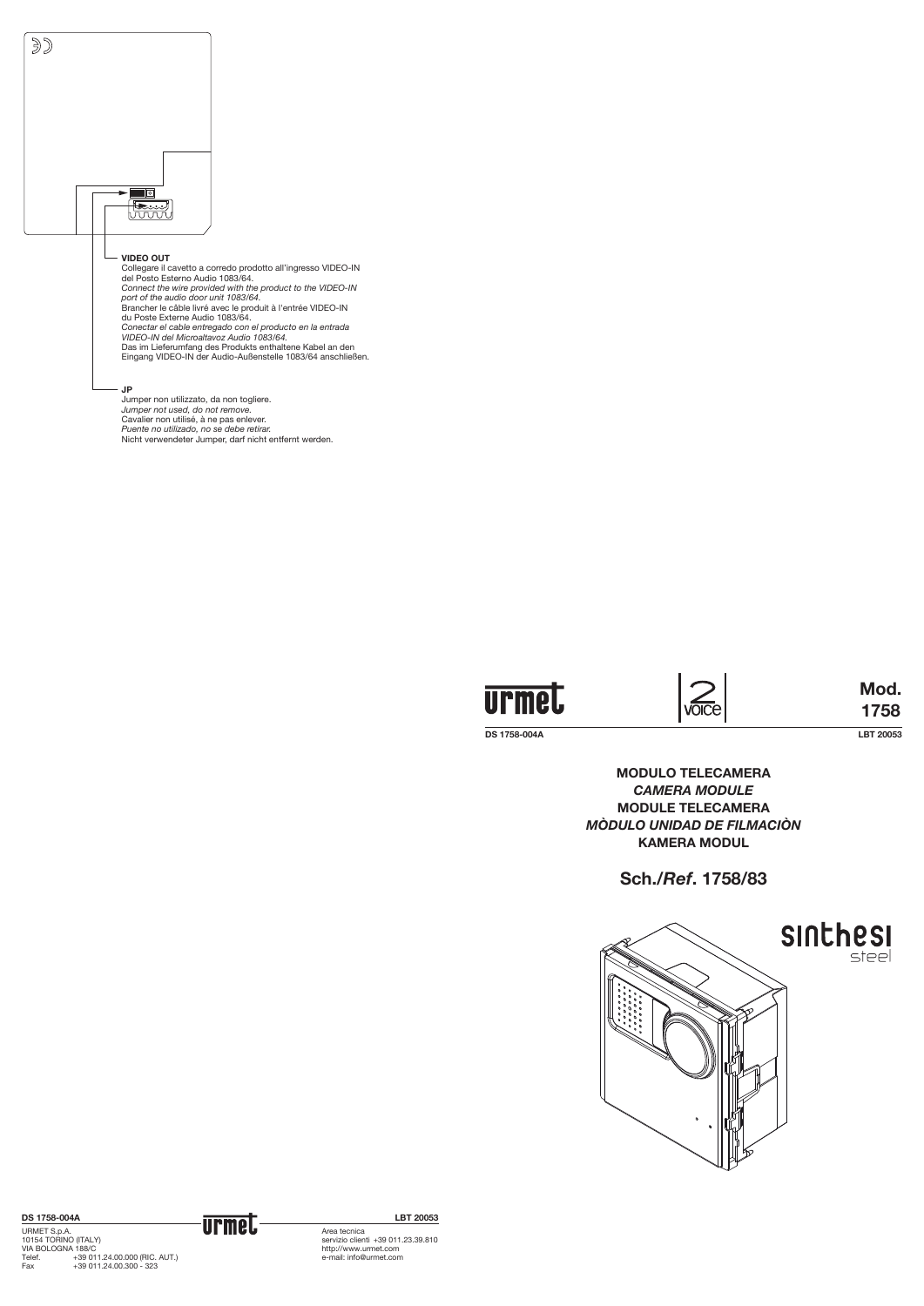**DS 1758-004A LBT 20053**

**Mod. 1758**





## **VIDEO OUT**

Collegare il cavetto a corredo prodotto all'ingresso VIDEO-IN del Posto Esterno Audio 1083/64. *Connect the wire provided with the product to the VIDEO-IN port of the audio door unit 1083/64.* Brancher le câble livré avec le produit à l'entrée VIDEO-IN du Poste Externe Audio 1083/64. *Conectar el cable entregado con el producto en la entrada VIDEO-IN del Microaltavoz Audio 1083/64.* Das im Lieferumfang des Produkts enthaltene Kabel an den Eingang VIDEO-IN der Audio-Außenstelle 1083/64 anschließen.

## **JP**

Jumper non utilizzato, da non togliere. *Jumper not used, do not remove.* Cavalier non utilisé, à ne pas enlever. *Puente no utilizado, no se debe retirar.* Nicht verwendeter Jumper, darf nicht entfernt werden.



**VOICE** 

**MODULO TELECAMERA** *camera MODULE* **MODULE TELECAMERA** *MÒDULO UNIDAD DE FILMACIÒN* **kamera mODUL**

**Sch./***Ref***. 1758/83**